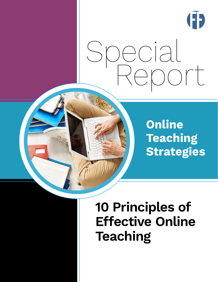

# Special Report

**Online Teaching Strategies**

# **10 Principles of Effective Online Teaching**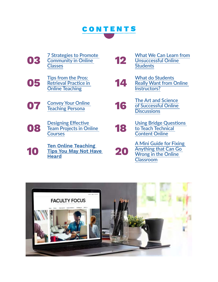

**[03](#page-2-0) [7 Strategies to Promote](#page-2-0)  [Community in Online](#page-2-0)** 

**[05](#page-4-0) Tips from the Pros:**<br> **05 Retrieval Practice in**<br> **Online Teaching [Retrieval Practice in](#page-4-0)** 

- 
- **[08](#page-7-0) Designing Effective**<br> **Courses [Team Projects in Online](#page-7-0)**

**[10](#page-9-0)** Tips You May Not Ha<br>Heard **[Tips You May Not Have](#page-9-0)  [Heard](#page-9-0) [20](#page-19-0)**

**[12](#page-11-0) 12 12 [What We Can Learn from](#page-11-0) <u>Community in Online</u>**<br> **12 12 <u>Unsuccessful Online</u><br> [Classes](#page-2-0) [Unsuccessful Online](#page-11-0)  [Students](#page-11-0)**

- **[Online Teaching](#page-4-0) [14](#page-13-0) [What do Students](#page-13-0)  [Really Want from Online](#page-13-0)  [Instructors?](#page-13-0)**
- **[16](#page-15-0) The Art and Science**<br> **16 [Teaching Persona](#page-6-0) 16 The Art and Science of Successful Online [of Successful Online](#page-15-0)  [Discussions](#page-15-0)**
	- **Designing Effective**<br> **[18](#page-17-0) Using Bridge Questions**<br> **[Courses](#page-7-0)**<br> **Courses**<br> **Content Online [to Teach Technical](#page-17-0)  [Content Online](#page-17-0)**
		- **[A Mini Guide for Fixing](#page-19-0)  [Anything that Can Go](#page-19-0)  [Wrong in the Online](#page-19-0)  [Classroom](#page-19-0)**

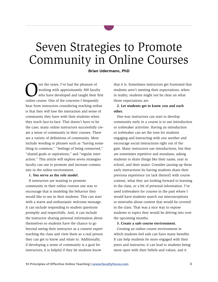# <span id="page-2-0"></span>Seven Strategies to Promote Community in Online Courses

#### **Brian Udermann, PhD**

Ver the years, I've had the pleasure of<br>working with approximately 300 facult<br>who have developed and taught their is<br>colline source. One of the senserns I frequently working with approximately 300 faculty who have developed and taught their first online course. One of the concerns I frequently hear from instructors considering teaching online is that they will lose the interaction and sense of community they have with their students when they teach face-to-face. That doesn't have to be the case; many online instructors successfully create a sense of community in their courses. There are a variety of definitions of community. Most include wording or phrases such as "having something in common," "feelings of being connected," "shared goals or aspirations," and "regular interaction." This article will explore seven strategies faculty can use to promote and increase community in the online environment.

#### **1. You serve as the role model.**

If instructors are wanting to promote community in their online courses one way to encourage that is modeling the behavior they would like to see in their students. This can start with a warm and enthusiastic welcome message. It can include responding to student questions promptly and respectfully. And, it can include the instructor sharing personal information about themselves so students have the chance to go beyond seeing their instructor as a content expert teaching the class and view them as a real person they can get to know and relate to. Additionally, if developing a sense of community is a goal for instructors, it is helpful if they let students know

that it is. Sometimes instructors get frustrated that students aren't meeting their expectations, when in reality, students might not be clear on what those expectations are.

#### **2. Let students get to know you and each other.**

One-way instructors can start to develop community early in a course is to use introduction or icebreaker activities. Having an introduction or icebreaker can set the tone for students engaging and interacting with one another and encourage social interactions right out of the gate. Many instructors use introductions, but they are sometimes repetitive and mundane, asking students to share things like their name, year in school, and their major. Consider jazzing up these early interactions by having students share their previous experience (or lack thereof) with course content, what they are looking forward to learning in the class, or a bit of personal information. I've used icebreakers for courses in the past where I would have students search out misconceptions or mistruths about content that would be covered in the class. That was a nice way to expose students to topics they would be delving into over the upcoming months.

#### **3. Create a safe course environment.**

Creating an online course environment in which students feel safe can have many benefits. It can help students be more engaged with their peers and instructor, it can lead to students being more open with their beliefs and values, and it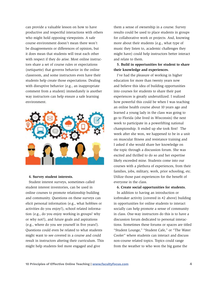can provide a valuable lesson on how to have productive and respectful interactions with others who might hold opposing viewpoints. A safe course environment doesn't mean there won't be disagreements or differences of opinion, but it does mean that students will treat each other with respect if they do arise. Most online instructors share a set of course rules or expectations (netiquette) that governs behavior in the online classroom, and some instructors even have their students help create those expectations. Dealing with disruptive behavior (e.g., an inappropriate comment from a student) immediately is another way instructors can help ensure a safe learning environment.



#### **4. Survey student interests.**

Student interest surveys, sometimes called student interest inventories, can be used in online courses to promote relationship building and community. Questions on these surveys can elicit personal information (e.g., what hobbies or activities do you enjoy?), school related information (e.g., do you enjoy working in groups? why or why not?), and future goals and aspirations (e.g., where do you see yourself in five years?). Questions could even be related to what students might want to see covered in a course and could result in instructors altering their curriculum. This might help students feel more engaged and give

them a sense of ownership in a course. Survey results could be used to place students in groups for collaborative work or projects. And, knowing more about their students (e.g., what type of music they listen to, academic challenges they might have) could help instructors better interact and relate to them.

### **5. Build in opportunities for student to share their knowledge and experiences.**

I've had the pleasure of working in higher education for more than twenty years now and believe this idea of building opportunities into courses for students to share their past experiences is greatly underutilized. I realized how powerful this could be when I was teaching an online health course about 10 years ago and learned a young lady in the class was going to go to Florida (she lived in Wisconsin) the next week to participate in a powerlifting national championship. It ended up she took first! The week after she won, we happened to be in a unit on muscular fitness and resistance training and I asked if she would share her knowledge on the topic through a discussion forum. She was excited and thrilled to do so and her expertise likely exceeded mine. Students come into our courses with a plethora of experiences, from their families, jobs, military, work, prior schooling, etc. Utilize those past experiences for the benefit of everyone in the class.

#### **6. Create social opportunities for students.**

In addition to having an introduction or icebreaker activity (covered in #2 above) building in opportunities for online students to interact socially can help promote a sense of community in class. One-way instructors do this is to have a discussion forum dedicated to personal interactions. Sometimes these forums or spaces are titled "Student Lounge," "Student Cafe," or "The Water Cooler" where students can interact and discuss non-course related topics. Topics could range from the weather to who won the big game the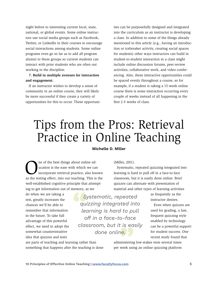<span id="page-4-0"></span>night before to interesting current local, state, national, or global events. Some online instructors use social media groups such as Facebook, Twitter, or LinkedIn in their courses to encourage social interactions among students. Some online programs even go so far as to add all program alumni to these groups so current students can interact with prior students who are often out working in the discipline.

### **7. Build in multiple avenues for interaction and engagement.**

If an instructor wishes to develop a sense of community in an online course, they will likely be more successful if they create a variety of opportunities for this to occur. These opportuni-

ties can be purposefully designed and integrated into the curriculum as an instructor is developing a class. In addition to some of the things already mentioned in this article (e.g., having an introduction or icebreaker activity, creating social spaces for students) other ways instructors can build in student-to-student interaction in a class might include online discussion forums, peer-review activities, collaborative work, and video conferencing. Also, these interactive opportunities could be spaced evenly throughout a course, so for example, if a student is taking a 15-week online course there is some interaction occurring every couple of weeks instead of all happening in the first 2-3 weeks of class.

# Tips from the Pros: Retrieval Practice in Online Teaching

#### **Michelle D. Miller**

The of the best things about online education is the ease with which we can incorporate retrieval practice, also know ucation is the ease with which we can incorporate retrieval practice, also known as the testing effect, into our teaching. This is the well-established cognitive principle that attempting to get information out of memory, as we

do when we are taking a test, greatly increases the chances we'll be able to remember that information in the future. To take full advantage of this powerful effect, we need to adopt the somewhat counterintuitive idea that quizzes and tests

*done online.*

are parts of teaching and learning rather than something that happens after the teaching is done (Miller, 2011).

Systematic, repeated quizzing integrated into learning is hard to pull off in a face-to-face classroom, but it is easily done online. Brief quizzes can alternate with presentation of material and other types of learning activities

*Systematic, repeated quizzing integrated into learning is hard to pull off in a face-to-face classroom, but it is easily*  as frequently as the instructor desires.

Even when quizzes are used for grading, a fast, frequent quizzing style enabled by technology can be a powerful support for student success. One recent study found that

administering low-stakes tests several times per week using an online quizzing platform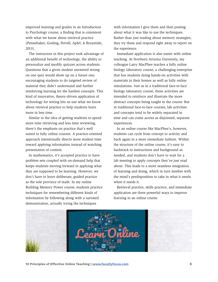improved learning and grades in an Introduction to Psychology course, a finding that is consistent with what we know about retrieval practice (Pennebaker, Gosling, Ferrell, Apfel, & Brzustiski, 2013).

The instructors in this project took advantage of an additional benefit of technology, the ability to personalize and modify quizzes across students. Questions that a given student answered wrong on one quiz would show up on a future one, encouraging students to do targeted review of material they didn't understand and further reinforcing learning for the hardest concepts. This kind of innovative, theory-driven application of technology for testing lets us use what we know about retrieval practice to help students learn more in less time.

Similar to the idea of getting students to spend more time retrieving and less time reviewing, there's the emphasis on practice that's well suited to fully online courses. A practice-oriented approach intentionally directs more student time toward applying information instead of watching presentation of content.

In mathematics, it's accepted practice to have problem sets coupled with on-demand help that keeps students moving forward in applying what they are supposed to be learning. However, we don't have to leave deliberate, guided practice as the sole province of math. In my online Building Memory Power course, students practice techniques for remembering different kinds of information by following along with a narrated demonstration, actually trying the techniques

with information I give them and then posting about what it was like to use the techniques. Rather than just reading about memory strategies, they try them and respond right away to report on the experience.

Immediate application is also easier with online teaching. At Northern Arizona University, my colleague Larry MacPhee teaches a fully online biology laboratory course, a challenging enterprise that has students doing hands-on activities with materials in their homes as well as fully online simulations. Just as in a traditional face-to-face biology laboratory course, these activities are intended to reinforce and illustrate the more abstract concepts being taught in the course. But in traditional face-to-face courses, lab activities and concepts tend to be widely separated in time and can come across as disjointed, separate experiences.

In an online course like MacPhee's, however, students can cycle from concept to activity and back again in a more immediate fashion. Within the structure of the online course, it's easy to backtrack to instructions and background as needed, and students don't have to wait for a lab meeting to apply concepts they've just read about. This leads to a more seamless integration of learning and doing, which in turn meshes with the mind's predisposition to take in what it needs when it needs it.

Retrieval practice, skills practice, and immediate application are three powerful ways to improve learning in an online course.

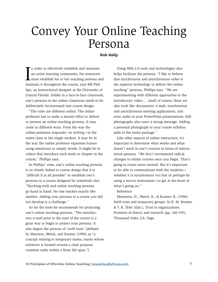# <span id="page-6-0"></span>Convey Your Online Teaching Persona

#### **Rob Kelly**

In order to effectively establish and maintain<br>an active learning community, the instructor<br>must establish his or her teaching persona ar<br>maintain it throughout the course, says Bill Philn order to effectively establish and maintain an active learning community, the instructor must establish his or her teaching persona and lips, an instructional designer at the University of Central Florida. Unlike in a face-to-face classroom, one's persona in the online classroom needs to be deliberately incorporated into course design.

"The rules are different online. The online professor has to make a sincere effort to deliver or present an online teaching persona. It may come in different ways. From the way the online professor responds—in writing—to the entire class or the single student. It may be in the way the online professor expresses humor using emoticons or simply words. It might be in videos that introduce each week or chapter in the course," Phillips says.

In Phillips' view, one's online teaching persona is so closely linked to course design that it is "difficult if at all possible" to establish one's persona in a course designed by somebody else. "Teaching style and online teaching persona go hand in hand. No one teaches exactly like another. Adding your persona to a course you did not develop is a challenge."

As for the tools he recommends for projecting one's online teaching persona, "The introductory e-mail prior to the start of the course is a great way to begin to project your persona. It also begins the process of 'swift trust' (defined by Myerson, Weick, and Kramer (1996) as "a concept relating to temporary teams, teams whose existence is formed around a clear purpose, common tasks within a finite life span.")

Using Web 2.0 tools and technologies also helps facilitate the persona. "I like to believe that synchronous and asynchronous video is the superior technology to deliver the online teaching" persona, Phillips says. "We are experimenting with different approaches to the introductory video … [and] of course, there are also tools like discussions, e-mail, synchronous and asynchronous meeting applications, and even audio in your PowerPoint presentations. Still photographs also carry a strong message. Adding a personal photograph to your course syllabus adds to the entire package."

Like other aspects of online instruction, it's important to determine what works and what doesn't work in one's courses in terms of instructional persona. "We don't recommend radical changes to online courses once you begin. That's going to create more turmoil. But it's important to be able to communicate with the students whether it is synchronous via chat or perhaps by using a survey instrument—to get at the heart of what's going on."

Reference

Meyerson, D., Weick, K., & Kramer, R. (1996). Swift trust and temporary groups. In R. M. Kramer & T. R. Tyler (Eds.), Trust in organizations: Frontiers of theory and research (pp. 166-195), Thousand Oaks, CA: Sage.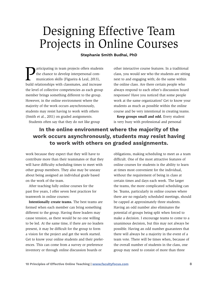# <span id="page-7-0"></span>Designing Effective Team Projects in Online Courses

### **Stephanie Smith Budhai, PhD**

articipating in team projects offers students the chance to develop interpersonal communication skills (Figueira & Leal, 2013), build relationships with classmates, and increase the level of collective competencies as each group member brings something different to the group. However, in the online environment where the majority of the work occurs asynchronously, students may resist having to work with others (Smith et al., 2011) on graded assignments. Students often say that they do not like group

other interactive course features. In a traditional class, you would see who the students are sitting next to and engaging with; do the same within the online class. Are there certain people who always respond to each other's discussion board responses? Have you noticed that some people work at the same organization? Get to know your students as much as possible within the online course and be very intentional in creating teams.

**Keep groups small and odd.** Every student is very busy with professional and personal

# **In the online environment where the majority of the work occurs asynchronously, students may resist having to work with others on graded assignments.**

work because they expect that they will have to contribute more than their teammates or that they will have difficulty scheduling times to meet with other group members. They also may be uneasy about being assigned an individual grade based on the work of the team.

After teaching fully online courses for the past five years, I offer seven best practices for teamwork in online courses:

**Intentionally create teams.** The best teams are formed when each member can bring something different to the group. Having three leaders may cause tension, as there would be no one willing to be led. At the same time, if there are no leaders present, it may be difficult for the group to form a vision for the project and get the work started. Get to know your online students and their preferences. This can come from a survey or preference inventory or through online discussion boards or

obligations, making scheduling to meet as a team difficult. One of the most attractive features of online courses for students is the ability to learn at times most convenient for the individual, without the requirement of being in class at certain times and days each week. The larger the teams, the more complicated scheduling can be. Teams, particularly in online courses where there are no regularly scheduled meetings, should be capped at approximately three students. Having an odd number also eliminates the potential of groups being split when forced to make a decision. I encourage teams to come to a unanimous decision, but this may not always be possible. Having an odd number guarantees that there will always be a majority in the event of a team vote. There will be times when, because of the overall number of students in the class, one group may need to consist of more than three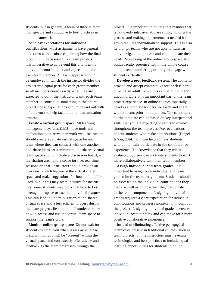students, but in general, a team of three is more manageable and conducive to best practices in online teamwork.

**Set clear expectations for individual contributions.** Most assignments have general directions with a rubric explaining how the final product will be assessed. For team projects, it is imperative to go beyond this and identify individual contributions and expectations for each team member. A jigsaw approach could be employed in which the instructor divides the project into equal parts for each group member, so all members know exactly what they are expected to do. If the instructor wants each team member to contribute something to the entire project, those expectations should be laid out with a framework to help facilitate that dissemination process.

**Create a virtual group space.** All learning management systems (LMS) have tools and applications that serve teamwork well. Instructors should create a private virtual space for each team where they can connect with one another and share ideas. At a minimum, the shared virtual team space should include a discussion board, a file sharing area, and a space for live, real-time sessions or chat. Instructors should provide an overview of each feature of the virtual shared space and make suggestions for how it should be used. While this may seem intuitive for instructors, some students may not know how to best leverage the space or use the individual features. This can lead to underutilization of the shared virtual space and a less efficient process during the team project. Be sure that all students know how to access and use the virtual team space to support the team's work.

**Monitor online group space.** Do not wait for students to email you when issues arise. Make it known that you will be "present" within the virtual space, and consistently offer advice and feedback as the team progresses through the

project. It is important to do this in a manner that is not overly intrusive. You are simply guiding the process and making adjustments as needed if the group requires individualized support. This is also helpful for teams who are not able to transparently navigate the process and communicate their needs. Monitoring of the online group space also builds faculty presence within the online course and presents another opportunity to engage with students virtually.

**Develop a peer feedback system.** The ability to provide and accept constructive feedback is part of being an adult. While this can be difficult and uncomfortable, it is an important part of the team project experience. In online courses especially, develop a template for peer feedback and share it with students prior to the project. The constructs on the template can be based on key interpersonal skills that you are expecting students to exhibit throughout the team project. Peer evaluations benefit students who make contributions (Dingel & Wei, 2014), and can help address students who do not fully participate in the collaborative experience. The knowledge that they will be evaluated by peers can motivate students to work more collaboratively with their team members.

**Assign individual and team grades.** It is important to assign both individual and team grades for the team assignments. Students should be assessed on the individual contributions they made as well as on how well they participate in the team components. Assigning individual grades requires a clear expectation for individual contributions and progress monitoring throughout the project. Assigning individual grades increases individual accountability and can make for a more positive collaborative experience.

Instead of eliminating effective pedagogical techniques present in traditional courses, such as team projects, online instructors must leverage technologies and best practices to include equal learning opportunities for students in online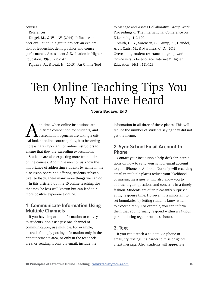<span id="page-9-0"></span>courses.

References

Dingel, M., & Wei, W. (2014). Influences on peer evaluation in a group project: an exploration of leadership, demographics and course performance. Assessment & Evaluation in Higher Education, 39(6), 729-742.

Figueira, A., & Leal, H. (2013). An Online Tool

to Manage and Assess Collaborative Group Work. Proceedings of The International Conference on E-Learning, 112-120.

Smith, G. G., Sorensen, C., Gump, A., Heindel, A. J., Caris, M., & Martinez, C. D. (2011). Overcoming student resistance to group work: Online versus face-to-face. Internet & Higher Education, 14(2), 121-128.

# Ten Online Teaching Tips You May Not Have Heard

### **Noura Badawi, EdD**

t a time when online institutions are<br>in fierce competition for students, an<br>accreditation agencies are taking a critical look at online course quality, it is become in fierce competition for students, and accreditation agencies are taking a critical look at online course quality, it is becoming increasingly important for online instructors to ensure that they are exceeding expectations.

Students are also expecting more from their online courses. And while most of us know the importance of addressing students by name in the discussion board and offering students substantive feedback, there many more things we can do.

In this article, I outline 10 online teaching tips that may be less well-known but can lead to a more positive experience online.

# 1. Communicate Information Using Multiple Channels

If you have important information to convey to students, don't use just one channel of communication, use multiple. For example, instead of simply posting information only in the announcements area, or only in the feedback area, or sending it only via email, include the

information in all three of these places. This will reduce the number of students saying they did not get the memo.

### 2. Sync School Email Account to Phone

Contact your institution's help desk for instructions on how to sync your school email account to your iPhone or Android. Not only will receiving email in multiple places reduce your likelihood of missing messages, it will also allow you to address urgent questions and concerns in a timely fashion. Students are often pleasantly surprised at my response time. However, it is important to set boundaries by letting students know when to expect a reply. For example, you can inform them that you normally respond within a 24-hour period, during regular business hours.

# 3. Text

If you can't reach a student via phone or email, try texting! It's harder to miss or ignore a text message. Also, students will appreciate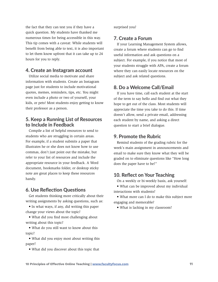the fact that they can text you if they have a quick question. My students have thanked me numerous times for being accessible in this way. This tip comes with a caveat: While students will benefit from being able to text, it is also important to let them know upfront that it can take up to 24 hours for you to reply.

# 4. Create an Instagram account

Utilize social media to motivate and share information with students. Create an Instagram page just for students to include motivational quotes, memes, reminders, tips, etc. You might even include a photo or two of yourself, your kids, or pets! Most students enjoy getting to know their professor as a person.

# 5. Keep a Running List of Resources to Include in Feedback

Compile a list of helpful resources to send to students who are struggling in certain areas. For example, if a student submits a paper that illustrates he or she does not know how to use commas, don't just point out the mistake, but refer to your list of resources and include the appropriate resource in your feedback. A Word document, bookmarks folder, or desktop sticky note are great places to keep these resources handy.

# 6. Use Reflection Questions

Get students thinking more critically about their writing assignments by asking questions, such as:

• In what ways, if any, did writing this paper change your views about the topic?

• What did you find most challenging about writing about this topic?

• What do you still want to know about this topic?

• What did you enjoy most about writing this paper?

• What did you discover about this topic that

surprised you?

# 7. Create a Forum

If your Learning Management System allows, create a forum where students can go to find useful information and ask questions on a subject. For example, if you notice that most of your students struggle with APA, create a forum where they can easily locate resources on the subject and ask related questions.

# 8. Do a Welcome Call/Email

If you have time, call each student at the start of the term to say hello and find out what they hope to get out of the class. Most students will appreciate the time you take to do this. If time doesn't allow, send a private email, addressing each student by name, and asking a direct question to start a brief dialogue.

# 9. Promote the Rubric

Remind students of the grading rubric for the week's main assignment in announcements and email to make sure they know what they will be graded on to eliminate questions like "How long does the paper have to be?"

# 10. Reflect on Your Teaching

On a weekly or bi-weekly basis, ask yourself:

• What can be improved about my individual interactions with students?

• What more can I do to make this subject more engaging and memorable?

• What is lacking in my classroom?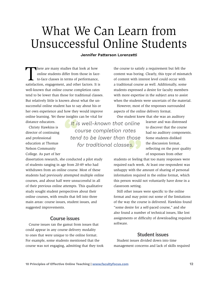# <span id="page-11-0"></span>What We Can Learn from Unsuccessful Online Students

#### **Jennifer Patterson Lorenzetti**

There are many studies that look at how<br>online students differ from those in face<br>to-face classes in terms of performance, online students differ from those in faceto-face classes in terms of performance, satisfaction, engagement, and other factors. It is well-known that online course completion rates tend to be lower than those for traditional classes. But relatively little is known about what the unsuccessful online student has to say about his or her own experience and how they would improve online learning. Yet these insights can be vital for distance educators.

Christy Hawkins is director of continuing and professional education at Thomas Nelson Community College. As part of her

*It is well-known that online course completion rates tend to be lower than those for traditional classes.*

the course to satisfy a requirement but felt the content was boring. Clearly, this type of mismatch of content with interest level could occur with a traditional course as well. Additionally, some students expressed a desire for faculty members with more expertise in the subject area to assist when the students were uncertain of the material.

However, most of the responses surrounded aspects of the online delivery format.

One student knew that she was an auditory

learner and was distressed to discover that the course had no auditory components. Some students disliked the discussion format, reflecting on the poor quality of responses from other

students or feeling that too many responses were required each week. At least one respondent was unhappy with the amount of sharing of personal information required in the online format, which this person would not voluntarily have done in a classroom setting.

Still other issues were specific to the online format and may point out some of the limitations of the way the course is delivered. Hawkins found "some desire for a self-paced course," and she also found a number of technical issues, like lost assignments or difficulty of downloading required software.

### Student issues

Student issues divided down into time management concerns and lack of skills required

dissertation research, she conducted a pilot study of students ranging in age from 20-49 who had withdrawn from an online course. Most of these students had previously attempted multiple online courses, and about half were unsuccessful in all of their previous online attempts. This qualitative study sought student perspectives about their online courses, with results that fell into three main areas: course issues, student issues, and suggested improvements.

### Course issues

Course issues ran the gamut from issues that could appear in any course delivery modality to ones that were unique to the online format. For example, some students mentioned that the course was not engaging, admitting that they took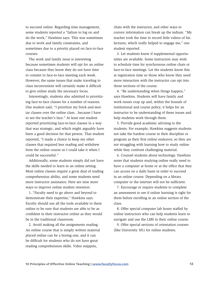to succeed online. Regarding time management, some students reported a "failure to log on and do the work," Hawkins says. This was sometimes due to work and family constraints, and sometimes due to a priority placed on face-to-face courses.

The work and family issue is interesting because sometimes students will opt for an online class because they know they do not have time to commit to face-to-face meeting each week. However, the same issues that make traveling to class inconvenient will certainly make it difficult to give online study the necessary focus.

Interestingly, students also admitted to prioritizing face-to-face classes for a number of reasons. One student said, "I prioritize my brick-and-mortar classes over the online class…because I have to see the teacher's face." At least one student reported prioritizing face-to-face classes in a way that was strategic, and which might arguably have been a good decision for that person. That student reported, "I made a choice to keep my other classes that required less reading and withdrew from the online course so I could take it when I could be successful."

Additionally, some students simply did not have the skills needed to learn in an online setting. Most online classes require a great deal of reading comprehension ability, and some students need more instructor assistance. Here are nine more ways to improve online student retention:

1. "Faculty need to go above and beyond to demonstrate their expertise," Hawkins says. Faculty should use all the tools available to them online to be sure that students are able to be as confident in their instructor online as they would be in the traditional classroom.

2. Avoid making all the assignments reading. An online course that is simply written material placed online can be a boring one, and it can be difficult for students who do not have great reading comprehension skills. Video snippets,

chats with the instructor, and other ways to convey information can break up the tedium. "My teacher took the time to record little videos of his lectures, which really helped to engage me," one student reported.

3. Let students know if supplemental opportunities are available. Some instructors may wish to schedule time for synchronous online chats or face-to-face meetings. Let the students know this at registration time so those who know they need more interaction with the instructor can opt into those sections of the course.

4. "Be understanding when things happen," says Hawkins. Students will have family and work issues crop up and, within the bounds of institutional and course policy, it helps for an instructor to be understanding of these issues and help students work through them.

5. Provide good academic advising to the students. For example, Hawkins suggests students not take the hardest course in their discipline or program as their first online endeavor, so they are not struggling with learning how to study online while they confront challenging material.

6. Counsel students about technology. Hawkins notes that students studying online really need to have a computer at home or at the office that they can access on a daily basis in order to succeed in an online course. Depending on a library computer or the internet will not be sufficient.

7. Encourage or require students to complete an assessment to see if online learning is right for them before enrolling in an online section of the class.

8. Offer special computer lab hours staffed by online instructors who can help students learn to navigate and use the LMS in their online course.

9. Offer special sections of orientation courses (like University 101) for online students.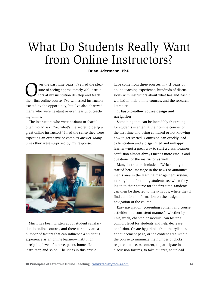# <span id="page-13-0"></span>What Do Students Really Want from Online Instructors?

#### **Brian Udermann, PhD**

Ver the past nine years, I've had the plea-<br>sure of seeing approximately 200 instruc-<br>tors at my institution develop and teach<br>their first online course. I've witnessed instructors sure of seeing approximately 200 instructors at my institution develop and teach their first online course. I've witnessed instructors excited by the opportunity, but I've also observed many who were hesitant or even fearful of teaching online.

The instructors who were hesitant or fearful often would ask: "So, what's the secret to being a great online instructor?" I had the sense they were expecting an extensive or complex answer. Many times they were surprised by my response.



Much has been written about student satisfaction in online courses, and there certainly are a number of factors that can influence a student's experience as an online learner—institution, discipline, level of course, peers, home life, instructor, and so on. The ideas in this article

have come from three sources: my 11 years of online teaching experience, hundreds of discussions with instructors about what has and hasn't worked in their online courses, and the research literature.

#### **1. Easy-to-follow course design and navigation**

Something that can be incredibly frustrating for students is entering their online course for the first time and being confused or not knowing how to get started. Confusion can quickly lead to frustration and a disgruntled and unhappy learner—not a great way to start a class. Learner confusion almost always means more emails and questions for the instructor as well.

Many instructors include a "Welcome—get started here" message in the news or announcements area in the learning management system, making it the first thing students see when they log in to their course for the first time. Students can then be directed to the syllabus, where they'll find additional information on the design and navigation of the course.

Easy navigation (presenting content and course activities in a consistent manner), whether by unit, week, chapter, or module, can foster a comfort level for students and help decrease confusion. Create hyperlinks from the syllabus, announcement page, or the content area within the course to minimize the number of clicks required to access content, to participate in discussion forums, to take quizzes, to upload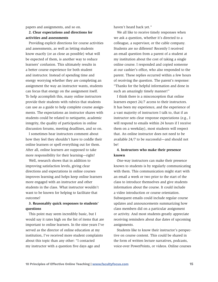papers and assignments, and so on.

#### **2. Clear expectations and directions for activities and assessments**

Providing explicit directions for course activities and assessments, as well as letting students know exactly (or as close as possible) what will be expected of them, is another way to reduce learners' confusion. This ultimately results in a better course experience for both student and instructor. Instead of spending time and energy worrying whether they are completing an assignment the way an instructor wants, students can focus that energy on the assignment itself. To help accomplish this, many online instructors provide their students with rubrics that students can use as a guide to help complete course assignments. The expectations an instructor shares with students could be related to netiquette, academic integrity, the quality of participation in online discussion forums, meeting deadlines, and so on.

I sometimes hear instructors comment about how they feel they shouldn't have to coddle their online learners or spell everything out for them. After all, online learners are supposed to take more responsibility for their learning—right?

Well, research shows that in addition to improving satisfaction levels, giving clear directions and expectations in online courses improves learning and helps keep online learners more engaged with an instructor and other students in the class. What instructor wouldn't want to be known for helping to facilitate that outcome?

### **3. Reasonably quick responses to students' questions**

This point may seem incredibly basic, but I would say it rates high on the list of items that are important to online learners. In the nine years I've served as the director of online education at my institution, I've received more student complaints about this topic than any other: "I contacted my instructor with a question five days ago and

haven't heard back yet."

We all like to receive timely responses when we ask a question, whether it's directed to a colleague, a supervisor, or the cable company. Students are no different! Recently I received an email question from a parent of a student at my institution about the cost of taking a single online course. I responded and copied someone at our cashier's office, who also responded to the parent. These replies occurred within a few hours of receiving the question. The parent's response: "Thanks for the helpful information and done in such an amazingly timely manner!"

I think there is a misconception that online learners expect 24/7 access to their instructors. It has been my experience, and the experience of a vast majority of instructors I talk to, that if an instructor sets clear response expectations (e.g., I will respond to emails within 24 hours if I receive them on a weekday), most students will respect that. An online instructor does not need to be available 24/7 to be successful—and should not be!

#### **4. Instructors who make their presence known**

One-way instructors can make their presence known to students is by regularly communicating with them. This communication might start with an email a week or two prior to the start of the class to introduce themselves and give students information about the course. It could include a video introduction or course orientation. Subsequent emails could include regular course updates and announcements summarizing how class members did on a particular assignment or activity. And most students greatly appreciate receiving reminders about due dates of upcoming assignments.

Students like to know their instructor's perspective on course content. This could be shared in the form of written lecture narratives, podcasts, voice-over PowerPoints, or videos. Online courses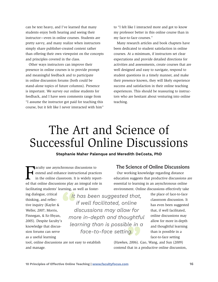<span id="page-15-0"></span>can be text heavy, and I've learned that many students enjoy both hearing and seeing their instructor—even in online courses. Students are pretty savvy, and many realize when instructors simply share publisher-created content rather than offering their own viewpoint on the concepts and principles covered in the class.

Other ways instructors can improve their presence in online courses is to provide prompt and meaningful feedback and to participate in online discussion forums (both could be stand-alone topics of future columns). Presence is important. We survey our online students for feedback, and I have seen comments range from "I assume the instructor got paid for teaching this course, but it felt like I never interacted with him" to "I felt like I interacted more and got to know my professor better in this online course than in my face-to-face courses."

Many research articles and book chapters have been dedicated to student satisfaction in online courses. At a minimum, if instructors set clear expectations and provide detailed directions for activities and assessments, create courses that are well designed and easy to navigate, respond to student questions in a timely manner, and make their presence known, they will likely experience success and satisfaction in their online teaching experiences. This should be reassuring to instructors who are hesitant about venturing into online teaching.

# The Art and Science of Successful Online Discussions

#### **Stephanie Maher Palenque and Meredith DeCosta, PhD**

Faculty use asynchronous discussions to<br>extend and enhance instructional practices<br>in the online classroom. It is widely report-<br>ed that online discussions play an integral role in aculty use asynchronous discussions to extend and enhance instructional practices in the online classroom. It is widely reportfacilitating students' learning, as well as foster-

ing dialogue, critical thinking, and reflective inquiry (Kayler & Weller, 2007; Morris, Finnegan, & Sz-Shyan, 2005). Despite faculty's knowledge that discussion forums can serve as a useful learning

and manage.

*It has been suggested that, if well facilitated, online discussions may allow for more in-depth and thoughtful learning than is possible in a face-to-face setting.*

tool, online discussions are not easy to establish

# The Science of Online Discussions

Our working knowledge regarding distance education suggests that productive discussions are essential to learning in an asynchronous online environment. Online discussions effectively take

> the place of face-to-face classroom discussion. It has even been suggested that, if well facilitated, online discussions may allow for more in-depth and thoughtful learning than is possible in a face-to-face setting

(Hawkes, 2006). Gao, Wang, and Sun (2009) contend that in a productive online discussion,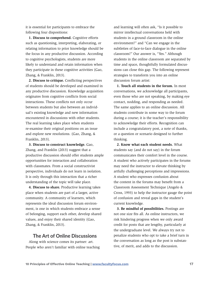it is essential for participants to embrace the following four dispositions:

**1. Discuss to comprehend.** Cognitive efforts such as questioning, interpreting, elaborating, or relating information to prior knowledge should be the focus in any productive discussion. According to cognitive psychologists, students are more likely to understand and retain information when they participate in these cognitive activities (Gao, Zhang, & Franklin, 2013).

**2. Discuss to critique.** Conflicting perspectives of students should be developed and examined in any productive discussion. Knowledge acquisition originates from cognitive conflicts from social interactions. These conflicts not only occur between students but also between an individual's existing knowledge and new information encountered in discussions with other students. The real learning takes place when students re-examine their original positions on an issue and explore new resolutions. (Gao, Zhang, & Franklin, 2013).

**3. Discuss to construct knowledge.** Gao, Zhang, and Franklin (2013) suggest that a productive discussion should offer students ample opportunities for interaction and collaboration with classmates. From a social constructivist perspective, individuals do not learn in isolation. It is only through this interaction that a richer understanding of the topic will take place.

**4. Discuss to share.** Productive learning takes place when students are part of a larger, active community. A community of learners, which represents the ideal discussion forum environment, is one in which students embrace a sense of belonging, support each other, develop shared values, and enjoy their shared identity (Gao, Zhang, & Franklin, 2013).

### The Art of Online Discussions

Along with science comes its partner: art. People who aren't familiar with online teaching

and learning will often ask, "Is it possible to mirror intellectual conversations held with students in a ground classroom in the online environment?" and "Can we engage in the subtleties of face-to-face dialogue in the online classroom?" Our answer is, "Yes." Although students in the online classroom are separated by time and space, thoughtfully formulated discussions can close this gap. The following represent strategies to transform you into an online discussion forum artist:

**1. Touch all students in the forum.** In most conversations, we acknowledge all participants, even those who are not speaking, by making eye contact, nodding, and responding as needed. The same applies to an online discussion. All students contribute in some way to the forum during a course; it is the teacher's responsibility to acknowledge their efforts. Recognition can include a congratulatory post, a note of thanks, or a question or scenario designed to further thinking.

**2. Know what each student needs.** What students say (and do not say) in the forum communicates their comfort level in the course. A student who actively participates in the forums may need the instructor to elevate thinking by artfully challenging perceptions and impressions. A student who expresses confusion about the content in the forums may benefit from a Classroom Assessment Technique (Angelo & Cross, 1993) to help the instructor gauge the point of confusion and reveal gaps in the student's current knowledge.

**3. Be mindful of possibilities.** Postings are not one size fits all. As online instructors, we risk hindering progress when we only award credit for posts that are lengthy, particularly at the undergraduate level. We always try not to penalize students who opt to take a brief turn in the conversation as long as the post is substantive, of merit, and adds to the discussion.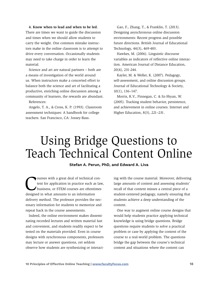<span id="page-17-0"></span>**4. Know when to lead and when to be led.** 

There are times we want to guide the discussion and times when we should allow students to carry the weight. One common mistake instructors make in the online classroom is to attempt to drive every conversation. Occasionally students may need to take charge in order to learn the material.

Science and art are natural partners – both are a means of investigation of the world around us. When instructors make a concerted effort to balance both the science and art of facilitating a productive, enriching online discussion among a community of learners, the rewards are abundant.

References:

Angelo, T. A., & Cross, K. P. (1993). Classroom assessment techniques: A handbook for college teachers. San Francisco, CA: Jossey-Bass.

Gao, F., Zhang, T., & Franklin, T. (2013). Designing asynchronous online discussion environments: Recent progress and possible future directions. British Journal of Educational Technology, 44(3), 469-483.

Hawkes, M. (2006). Linguistic discourse variables as indicators of reflective online interaction. American Journal of Distance Education, 20(4), 231-244.

Kayler, M. & Weller, K. (2007). Pedagogy, self-assessment, and online discussion groups. Journal of Educational Technology & Society, 10(1), 136–147.

Morris, K.V., Finnegan, C. & Sz-Shyan, W. (2005). Tracking student behavior, persistence, and achievement in online courses. Internet and Higher Education, 8(3), 221–231.

# Using Bridge Questions to Teach Technical Content Online

#### **Stefan A. Perun, PhD, and Edward A. Liva**

ourses with a great deal of technical content for application in practice such as law, business, or STEM courses are oftentimes designed in what amounts to an information delivery method. The professor provides the necessary information for students to memorize and repeat back in the course assessments.

Indeed, the online environment makes disseminating recorded lectures and written material fast and convenient, and students readily expect to be tested on the materials provided. Even in course designs with synchronous components, professors may lecture or answer questions, yet seldom observe how students are synthesizing or interacting with the course material. Moreover, delivering large amounts of content and assessing students' recall of that content misses a central piece of a student-centered pedagogy, namely ensuring that students achieve a deep understanding of the content.

One way to augment online course designs that would help students practice applying technical knowledge is using bridge questions. Bridge questions require students to solve a practical problem or case by applying the content of the course to a real-world problem. The questions bridge the gap between the course's technical content and situations where the content can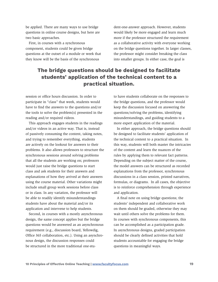be applied. There are many ways to use bridge questions in online course designs, but here are two basic approaches.

First, in courses with a synchronous component, students could be given bridge questions at the outset of a module or week that they know will be the basis of the synchronous

dent-one-answer approach. However, students would likely be more engaged and learn much more if the professor structured the requirement as a collaborative activity with everyone working on the bridge questions together. In larger classes, the professor might consider breaking the class into smaller groups. In either case, the goal is

# **The bridge questions should be designed to facilitate students' application of the technical content to a practical situation.**

session or office hours discussion. In order to participate in "class" that week, students would have to find the answers to the questions and/or the tools to solve the problem(s) presented in the reading and/or required videos.

This approach engages students in the readings and/or videos in an active way. That is, instead of passively consuming the content, taking notes, and trying to remember everything, students are actively on the lookout for answers to their problems. It also allows professors to structure the synchronous sessions around solving problems that all the students are working on; professors would just raise the bridge questions to start class and ask students for their answers and explanations of how they arrived at their answers using the course material. Other variations might include small group work sessions before class or in class. In any variation, the professor will be able to readily identify misunderstandings students have about the material and/or its application and intervene to help students.

Second, in courses with a mostly asynchronous design, the same concept applies but the bridge questions would be answered as an asynchronous requirement (e.g., discussion board, Yellowdig, Office 365 collaboration, etc.). Using an asynchronous design, the discussion responses could be structured in the more traditional one-stu-

to have students collaborate on the responses to the bridge questions, and the professor would keep the discussion focused on answering the questions/solving the problems, identifying misunderstandings, and guiding students to a more expert application of the material.

In either approach, the bridge questions should be designed to facilitate students' application of the technical content to a practical situation. In this way, students will both master the intricacies of the content and learn the nuances of the rules by applying them to relevant fact patterns. Depending on the subject matter of the course, the model answers can be structured as recorded explanations from the professor, synchronous discussions in a class session, printed narratives, formulas, or diagrams. In all cases, the objective is to reinforce comprehension through experience and application.

A final note on using bridge questions; the students' independent and collaborative work on them should be graded, otherwise they may wait until others solve the problems for them. In courses with synchronous components, this can be accomplished as a participation grade. In asynchronous designs, graded participation should be clearly defined activities that hold students accountable for engaging the bridge questions in meaningful ways.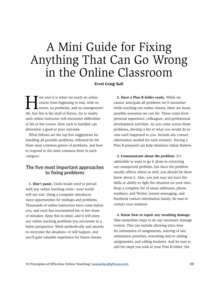# <span id="page-19-0"></span>A Mini Guide for Fixing Anything That Can Go Wrong in the Online Classroom

**Errol Craig Sull**

The own ice it is when we teach an online<br>course from beginning to end, with no<br>errors, no problems, and no emergencially course from beginning to end, with no errors, no problems, and no emergencies! Ah, but this is the stuff of fiction, for in reality each online instructor will encounter difficulties in his or her course. How each is handled can determine a good or poor outcome.

What follows are the top five suggestions for handling all possible problems, followed by the three most common genres of problems, and how to respond to the most common three in each category:

# The five most important approaches to fixing problems

**1. Don't panic.** Cools heads need to prevail with any online teaching crisis—your world will not end. Using a computer introduces more opportunities for mishaps and problems. Thousands of online instructors have come before you, and each has encountered his or her share of mistakes. Keep this in mind, and it will place any online teaching problems you encounter in a better perspective. Work methodically and smartly to overcome the situation—it will happen, and you'll gain valuable experience for future classes.

**2. Have a Plan B folder ready.** While we cannot anticipate all problems we'll encounter while teaching our online classes, there are many possible scenarios we can list. These come from personal experience, colleagues, and professional development activities. As you come across these problems, develop a list of what you would do in case each happened to you. Include any contact information needed for each scenario. Having a Plan B prepared can help minimize initial distress.

**3. Communicate about the problem.** It's admirable to want to go it alone in correcting any unexpected problem, but since the problem usually affects others as well, you should let them know about it. Also, you just may not have the skills or ability to right the situation on your own. Keep a complete list of email addresses, phone numbers; and Twitter, instant messaging, and Facebook contact information handy. Be sure to contact your students.

**4. Know how to repair any resulting damage.**  Take immediate steps to do any necessary damage control. This can include allowing extra time for submission of assignments, waiving of late submission penalties, reworking and/or adding assignments, and calling students. And be sure to add the steps you took to your Plan B folder: the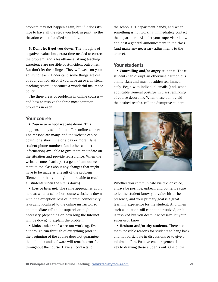problem may not happen again, but if it does it's nice to have all the steps you took in print, so the situation can be handled smoothly.

**5. Don't let it get you down.** The thoughts of negative evaluations, extra time needed to correct the problem, and a less-than-satisfying teaching experience are possible post-incident outcomes. But don't let these linger. They will wear on your ability to teach. Understand some things are out of your control. Also, if you have an overall stellar teaching record it becomes a wonderful insurance policy.

The three areas of problems in online courses and how to resolve the three most common problems in each:

### Your course

• **Course or school website down.** This happens at any school that offers online courses. The reasons are many, and the website can be down for a short time or a day or more. Have student phone numbers (and other contact information) available to give them an update on the situation and provide reassurance. When the website comes back, post a general announcement to the class about any changes that might have to be made as a result of the problem (Remember that you might not be able to reach all students when the site is down).

• **Loss of Internet.** The same approaches apply here as when a school or course website is down with one exception: loss of Internet connectivity is usually localized to the online instructor, so an immediate call to the supervisor might be necessary (depending on how long the Internet will be down) to explain the problem.

• **Links and/or software not working.** Even a thorough run-through of everything prior to the beginning of the course does not guarantee that all links and software will remain error-free throughout the course. Have all contacts to

the school's IT department handy, and when something is not working, immediately contact the department. Also, let your supervisor know and post a general announcement to the class (and make any necessary adjustments to the course).

### Your students

• **Controlling and/or angry students.** These students can disrupt an otherwise harmonious online class and must be addressed immediately. Begin with individual emails (and, when applicable, general postings in class reminding of course decorum). When these don't yield the desired results, call the disruptive student.



Whether you communicate via text or voice, always be positive, upbeat, and polite. Be sure to let the student know you value his or her presence, and your primary goal is a great learning experience for the student. And when such a situation still cannot be resolved, or it is resolved but you deem it necessary, let your supervisor know.

• **Hesitant and/or shy students.** There are many possible reasons for students to hang back and not participate in discussions or to give a minimal effort. Positive encouragement is the key to drawing these students out. One of the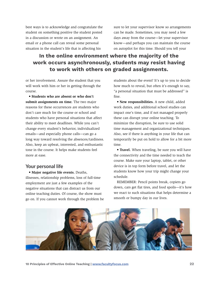best ways is to acknowledge and congratulate the student on something positive the student posted in a discussion or wrote on an assignment. An email or a phone call can reveal some personal situation in the student's life that is affecting his

sure to let your supervisor know so arrangements can be made. Sometimes, you may need a few days away from the course—let your supervisor know—and perhaps you can maintain the course on autopilot for this time. Should you tell your

# **In the online environment where the majority of the work occurs asynchronously, students may resist having to work with others on graded assignments.**

or her involvement. Assure the student that you will work with him or her in getting through the course.

**• Students who are absent or who don't submit assignments on time.** The two major reasons for these occurrences are students who don't care much for the course or school and students who have personal situations that affect their ability to meet deadlines. While you can't change every student's behavior, individualized emails—and especially phone calls—can go a long way toward resolving the absences/tardiness. Also, keep an upbeat, interested, and enthusiastic tone in the course. It helps make students feel more at ease.

# Your personal life

• **Major negative life events.** Deaths, illnesses, relationship problems, loss of full-time employment are just a few examples of the negative situations that can distract us from our online teaching duties. Of course, the show must go on. If you cannot work through the problem be students about the event? It's up to you to decide how much to reveal, but often it's enough to say, "a personal situation that must be addressed" is fine.

• **New responsibilities.** A new child, added work duties, and additional school studies can impact one's time, and if not managed properly these can disrupt your online teaching. To minimize the disruption, be sure to use solid time management and organizational techniques. Also, see if there is anything in your life that can temporarily be put on hold to allow for a bit more time.

• **Travel.** When traveling, be sure you will have the connectivity and the time needed to teach the course. Make sure your laptop, tablet, or other device is in top form before travel, and let the students know how your trip might change your schedule.

REMEMBER: Pencil points break, copiers go down, cars get flat tires, and food spoils—it's how we react to such situations that helps determine a smooth or bumpy day in our lives.